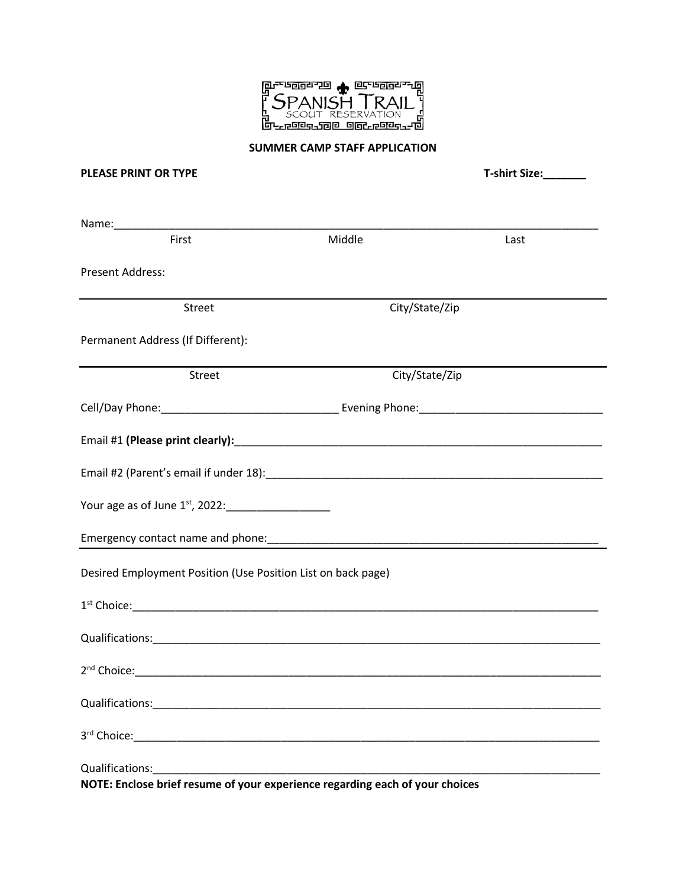

#### **SUMMER CAMP STAFF APPLICATION**

## **PLEASE PRINT OR TYPE T-shirt Size:\_\_\_\_\_\_\_**

| Name:_______________                                                         |                |      |  |  |
|------------------------------------------------------------------------------|----------------|------|--|--|
| First                                                                        | Middle         | Last |  |  |
| <b>Present Address:</b>                                                      |                |      |  |  |
| <b>Street</b>                                                                | City/State/Zip |      |  |  |
| Permanent Address (If Different):                                            |                |      |  |  |
| Street                                                                       | City/State/Zip |      |  |  |
|                                                                              |                |      |  |  |
|                                                                              |                |      |  |  |
|                                                                              |                |      |  |  |
|                                                                              |                |      |  |  |
|                                                                              |                |      |  |  |
| Desired Employment Position (Use Position List on back page)                 |                |      |  |  |
|                                                                              |                |      |  |  |
|                                                                              |                |      |  |  |
|                                                                              |                |      |  |  |
|                                                                              |                |      |  |  |
|                                                                              |                |      |  |  |
|                                                                              |                |      |  |  |
| NOTE: Enclose brief resume of your experience regarding each of your choices |                |      |  |  |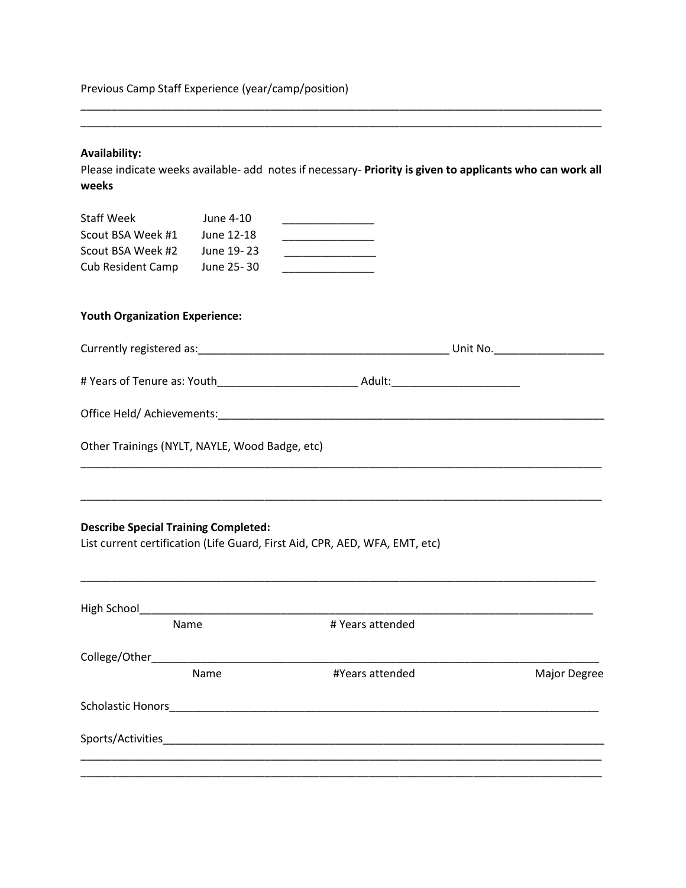Previous Camp Staff Experience (year/camp/position)

# **Availability:**

Please indicate weeks available- add notes if necessary- **Priority is given to applicants who can work all weeks**

\_\_\_\_\_\_\_\_\_\_\_\_\_\_\_\_\_\_\_\_\_\_\_\_\_\_\_\_\_\_\_\_\_\_\_\_\_\_\_\_\_\_\_\_\_\_\_\_\_\_\_\_\_\_\_\_\_\_\_\_\_\_\_\_\_\_\_\_\_\_\_\_\_\_\_\_\_\_\_\_\_\_\_\_\_ \_\_\_\_\_\_\_\_\_\_\_\_\_\_\_\_\_\_\_\_\_\_\_\_\_\_\_\_\_\_\_\_\_\_\_\_\_\_\_\_\_\_\_\_\_\_\_\_\_\_\_\_\_\_\_\_\_\_\_\_\_\_\_\_\_\_\_\_\_\_\_\_\_\_\_\_\_\_\_\_\_\_\_\_\_

| <b>Staff Week</b>        | June 4-10  |  |
|--------------------------|------------|--|
| Scout BSA Week #1        | June 12-18 |  |
| Scout BSA Week #2        | June 19-23 |  |
| <b>Cub Resident Camp</b> | June 25-30 |  |

## **Youth Organization Experience:**

| Currently registered as:<br>the control of the control of the control of the control of the control of the control of the control of the control of the control of the control of the control of the control of the control of the control of the control |        | Unit No. |
|-----------------------------------------------------------------------------------------------------------------------------------------------------------------------------------------------------------------------------------------------------------|--------|----------|
| # Years of Tenure as: Youth                                                                                                                                                                                                                               | Adult: |          |
| Office Held/Achievements:                                                                                                                                                                                                                                 |        |          |
| Other Trainings (NYLT, NAYLE, Wood Badge, etc)                                                                                                                                                                                                            |        |          |

\_\_\_\_\_\_\_\_\_\_\_\_\_\_\_\_\_\_\_\_\_\_\_\_\_\_\_\_\_\_\_\_\_\_\_\_\_\_\_\_\_\_\_\_\_\_\_\_\_\_\_\_\_\_\_\_\_\_\_\_\_\_\_\_\_\_\_\_\_\_\_\_\_\_\_\_\_\_\_\_\_\_\_\_\_

\_\_\_\_\_\_\_\_\_\_\_\_\_\_\_\_\_\_\_\_\_\_\_\_\_\_\_\_\_\_\_\_\_\_\_\_\_\_\_\_\_\_\_\_\_\_\_\_\_\_\_\_\_\_\_\_\_\_\_\_\_\_\_\_\_\_\_\_\_\_\_\_\_\_\_\_\_\_\_\_\_\_\_\_\_

\_\_\_\_\_\_\_\_\_\_\_\_\_\_\_\_\_\_\_\_\_\_\_\_\_\_\_\_\_\_\_\_\_\_\_\_\_\_\_\_\_\_\_\_\_\_\_\_\_\_\_\_\_\_\_\_\_\_\_\_\_\_\_\_\_\_\_\_\_\_\_\_\_\_\_\_\_\_\_\_\_\_\_\_

## **Describe Special Training Completed:**

List current certification (Life Guard, First Aid, CPR, AED, WFA, EMT, etc)

|                          | Name | # Years attended |              |
|--------------------------|------|------------------|--------------|
| College/Other_           |      |                  |              |
|                          | Name | #Years attended  | Major Degree |
| <b>Scholastic Honors</b> |      |                  |              |
| Sports/Activities        |      |                  |              |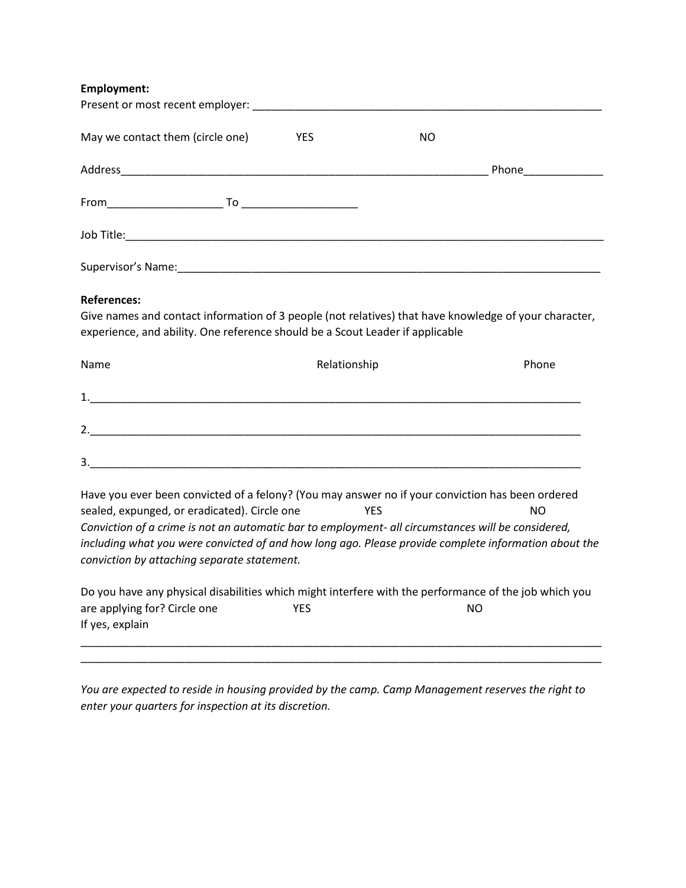**Employment:**

| May we contact them (circle one)                                                                                                                                                                                                                                                                                                                                                                              | YES          | NO.        |           |
|---------------------------------------------------------------------------------------------------------------------------------------------------------------------------------------------------------------------------------------------------------------------------------------------------------------------------------------------------------------------------------------------------------------|--------------|------------|-----------|
|                                                                                                                                                                                                                                                                                                                                                                                                               |              |            |           |
|                                                                                                                                                                                                                                                                                                                                                                                                               |              |            |           |
|                                                                                                                                                                                                                                                                                                                                                                                                               |              |            |           |
|                                                                                                                                                                                                                                                                                                                                                                                                               |              |            |           |
| <b>References:</b><br>Give names and contact information of 3 people (not relatives) that have knowledge of your character,<br>experience, and ability. One reference should be a Scout Leader if applicable                                                                                                                                                                                                  |              |            |           |
| Name                                                                                                                                                                                                                                                                                                                                                                                                          | Relationship |            | Phone     |
| $\mathbf{1.}$                                                                                                                                                                                                                                                                                                                                                                                                 |              |            |           |
|                                                                                                                                                                                                                                                                                                                                                                                                               |              |            |           |
|                                                                                                                                                                                                                                                                                                                                                                                                               |              |            |           |
| Have you ever been convicted of a felony? (You may answer no if your conviction has been ordered<br>sealed, expunged, or eradicated). Circle one<br>Conviction of a crime is not an automatic bar to employment- all circumstances will be considered,<br>including what you were convicted of and how long ago. Please provide complete information about the<br>conviction by attaching separate statement. |              | <b>YES</b> | <b>NO</b> |
| Do you have any physical disabilities which might interfere with the performance of the job which you<br>are applying for? Circle one<br>If yes, explain                                                                                                                                                                                                                                                      | <b>YES</b>   |            | <b>NO</b> |

*You are expected to reside in housing provided by the camp. Camp Management reserves the right to enter your quarters for inspection at its discretion.*

\_\_\_\_\_\_\_\_\_\_\_\_\_\_\_\_\_\_\_\_\_\_\_\_\_\_\_\_\_\_\_\_\_\_\_\_\_\_\_\_\_\_\_\_\_\_\_\_\_\_\_\_\_\_\_\_\_\_\_\_\_\_\_\_\_\_\_\_\_\_\_\_\_\_\_\_\_\_\_\_\_\_\_\_\_ \_\_\_\_\_\_\_\_\_\_\_\_\_\_\_\_\_\_\_\_\_\_\_\_\_\_\_\_\_\_\_\_\_\_\_\_\_\_\_\_\_\_\_\_\_\_\_\_\_\_\_\_\_\_\_\_\_\_\_\_\_\_\_\_\_\_\_\_\_\_\_\_\_\_\_\_\_\_\_\_\_\_\_\_\_